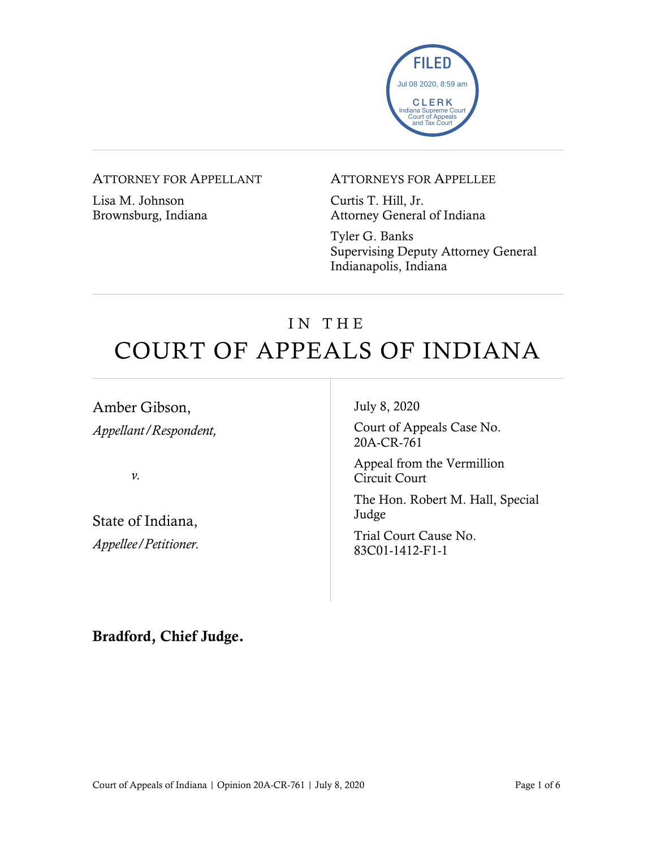

### ATTORNEY FOR APPELLANT

Lisa M. Johnson Brownsburg, Indiana

#### ATTORNEYS FOR APPELLEE

Curtis T. Hill, Jr. Attorney General of Indiana

Tyler G. Banks Supervising Deputy Attorney General Indianapolis, Indiana

# IN THE COURT OF APPEALS OF INDIANA

Amber Gibson, *Appellant/Respondent,*

*v.*

State of Indiana, *Appellee/Petitioner.* July 8, 2020

Court of Appeals Case No. 20A-CR-761

Appeal from the Vermillion Circuit Court

The Hon. Robert M. Hall, Special Judge

Trial Court Cause No. 83C01-1412-F1-1

Bradford, Chief Judge.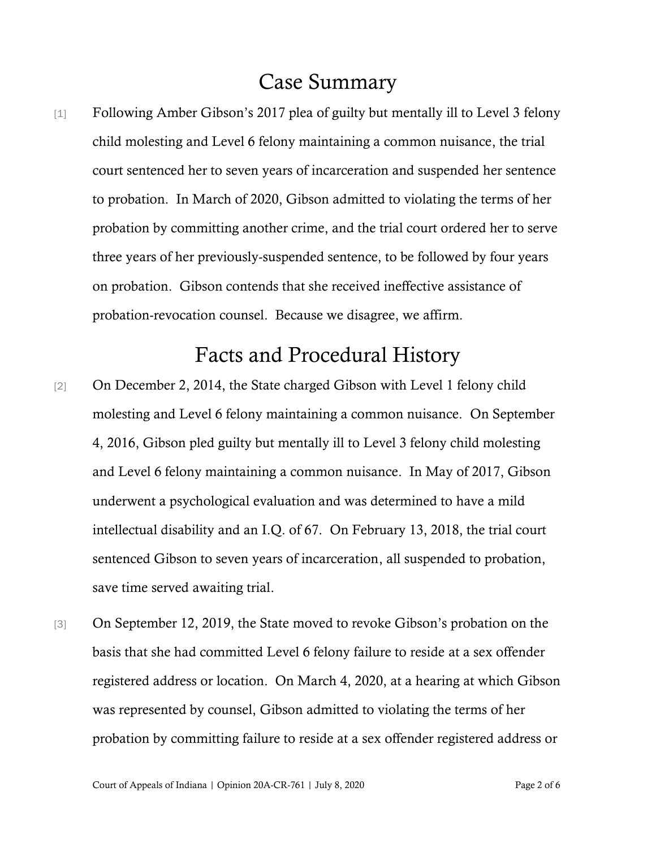# Case Summary

[1] Following Amber Gibson's 2017 plea of guilty but mentally ill to Level 3 felony child molesting and Level 6 felony maintaining a common nuisance, the trial court sentenced her to seven years of incarceration and suspended her sentence to probation. In March of 2020, Gibson admitted to violating the terms of her probation by committing another crime, and the trial court ordered her to serve three years of her previously-suspended sentence, to be followed by four years on probation. Gibson contends that she received ineffective assistance of probation-revocation counsel. Because we disagree, we affirm.

## Facts and Procedural History

- [2] On December 2, 2014, the State charged Gibson with Level 1 felony child molesting and Level 6 felony maintaining a common nuisance. On September 4, 2016, Gibson pled guilty but mentally ill to Level 3 felony child molesting and Level 6 felony maintaining a common nuisance. In May of 2017, Gibson underwent a psychological evaluation and was determined to have a mild intellectual disability and an I.Q. of 67. On February 13, 2018, the trial court sentenced Gibson to seven years of incarceration, all suspended to probation, save time served awaiting trial.
- [3] On September 12, 2019, the State moved to revoke Gibson's probation on the basis that she had committed Level 6 felony failure to reside at a sex offender registered address or location. On March 4, 2020, at a hearing at which Gibson was represented by counsel, Gibson admitted to violating the terms of her probation by committing failure to reside at a sex offender registered address or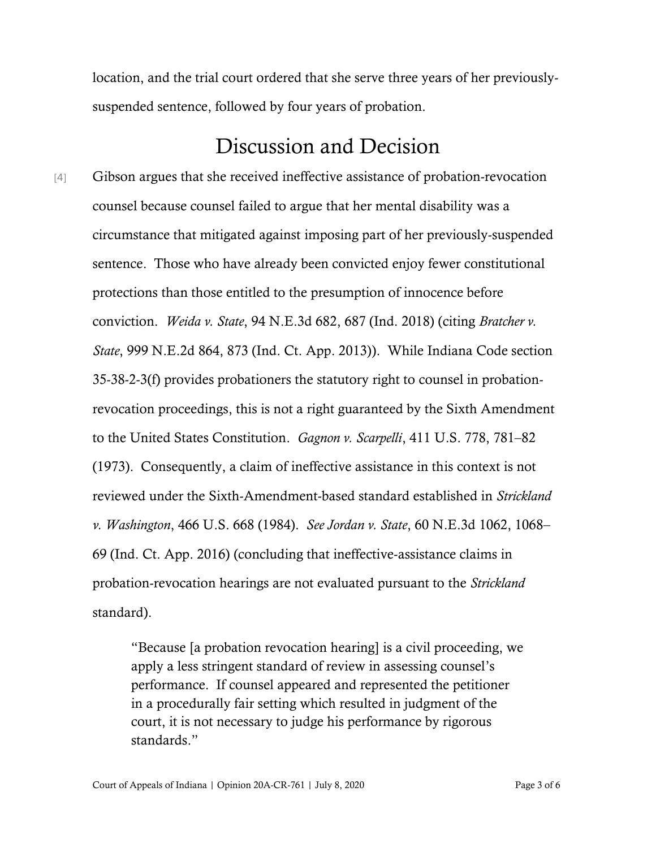location, and the trial court ordered that she serve three years of her previouslysuspended sentence, followed by four years of probation.

### Discussion and Decision

[4] Gibson argues that she received ineffective assistance of probation-revocation counsel because counsel failed to argue that her mental disability was a circumstance that mitigated against imposing part of her previously-suspended sentence. Those who have already been convicted enjoy fewer constitutional protections than those entitled to the presumption of innocence before conviction. *Weida v. State*, 94 N.E.3d 682, 687 (Ind. 2018) (citing *Bratcher v. State*, 999 N.E.2d 864, 873 (Ind. Ct. App. 2013)). While Indiana Code section 35-38-2-3(f) provides probationers the statutory right to counsel in probationrevocation proceedings, this is not a right guaranteed by the Sixth Amendment to the United States Constitution. *Gagnon v. Scarpelli*, 411 U.S. 778, 781–82 (1973). Consequently, a claim of ineffective assistance in this context is not reviewed under the Sixth-Amendment-based standard established in *Strickland v. Washington*, 466 U.S. 668 (1984). *See Jordan v. State*, 60 N.E.3d 1062, 1068– 69 (Ind. Ct. App. 2016) (concluding that ineffective-assistance claims in probation-revocation hearings are not evaluated pursuant to the *Strickland* standard).

> "Because [a probation revocation hearing] is a civil proceeding, we apply a less stringent standard of review in assessing counsel's performance. If counsel appeared and represented the petitioner in a procedurally fair setting which resulted in judgment of the court, it is not necessary to judge his performance by rigorous standards."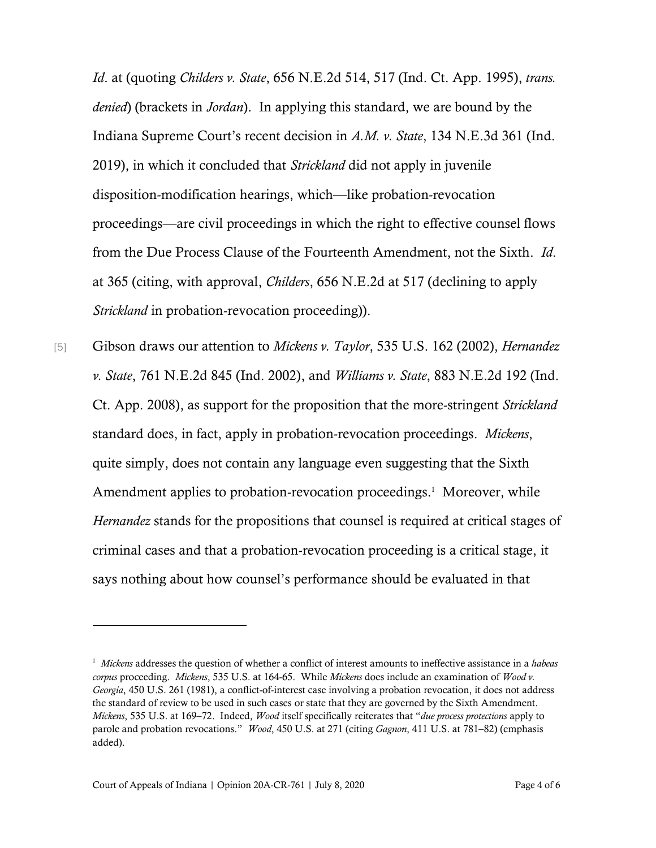*Id*. at (quoting *Childers v. State*, 656 N.E.2d 514, 517 (Ind. Ct. App. 1995), *trans. denied*) (brackets in *Jordan*). In applying this standard, we are bound by the Indiana Supreme Court's recent decision in *A.M. v. State*, 134 N.E.3d 361 (Ind. 2019), in which it concluded that *Strickland* did not apply in juvenile disposition-modification hearings, which—like probation-revocation proceedings—are civil proceedings in which the right to effective counsel flows from the Due Process Clause of the Fourteenth Amendment, not the Sixth. *Id*. at 365 (citing, with approval, *Childers*, 656 N.E.2d at 517 (declining to apply *Strickland* in probation-revocation proceeding)).

[5] Gibson draws our attention to *Mickens v. Taylor*, 535 U.S. 162 (2002), *Hernandez v. State*, 761 N.E.2d 845 (Ind. 2002), and *Williams v. State*, 883 N.E.2d 192 (Ind. Ct. App. 2008), as support for the proposition that the more-stringent *Strickland* standard does, in fact, apply in probation-revocation proceedings. *Mickens*, quite simply, does not contain any language even suggesting that the Sixth Amendment applies to probation-revocation proceedings. 1 Moreover, while *Hernandez* stands for the propositions that counsel is required at critical stages of criminal cases and that a probation-revocation proceeding is a critical stage, it says nothing about how counsel's performance should be evaluated in that

<sup>1</sup> *Mickens* addresses the question of whether a conflict of interest amounts to ineffective assistance in a *habeas corpus* proceeding. *Mickens*, 535 U.S. at 164-65. While *Mickens* does include an examination of *Wood v. Georgia*, 450 U.S. 261 (1981), a conflict-of-interest case involving a probation revocation, it does not address the standard of review to be used in such cases or state that they are governed by the Sixth Amendment. *Mickens*, 535 U.S. at 169–72. Indeed, *Wood* itself specifically reiterates that "*due process protections* apply to parole and probation revocations." *Wood*, 450 U.S. at 271 (citing *Gagnon*, 411 U.S. at 781–82) (emphasis added).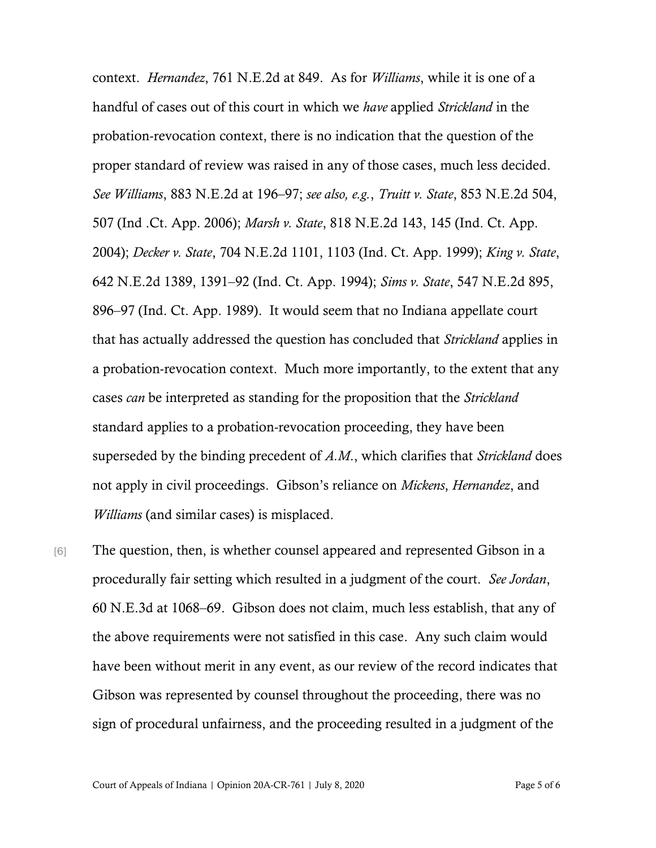context. *Hernandez*, 761 N.E.2d at 849. As for *Williams*, while it is one of a handful of cases out of this court in which we *have* applied *Strickland* in the probation-revocation context, there is no indication that the question of the proper standard of review was raised in any of those cases, much less decided. *See Williams*, 883 N.E.2d at 196–97; *see also, e.g.*, *Truitt v. State*, 853 N.E.2d 504, 507 (Ind .Ct. App. 2006); *Marsh v. State*, 818 N.E.2d 143, 145 (Ind. Ct. App. 2004); *Decker v. State*, 704 N.E.2d 1101, 1103 (Ind. Ct. App. 1999); *King v. State*, 642 N.E.2d 1389, 1391–92 (Ind. Ct. App. 1994); *Sims v. State*, 547 N.E.2d 895, 896–97 (Ind. Ct. App. 1989). It would seem that no Indiana appellate court that has actually addressed the question has concluded that *Strickland* applies in a probation-revocation context. Much more importantly, to the extent that any cases *can* be interpreted as standing for the proposition that the *Strickland* standard applies to a probation-revocation proceeding, they have been superseded by the binding precedent of *A.M*., which clarifies that *Strickland* does not apply in civil proceedings. Gibson's reliance on *Mickens*, *Hernandez*, and *Williams* (and similar cases) is misplaced.

[6] The question, then, is whether counsel appeared and represented Gibson in a procedurally fair setting which resulted in a judgment of the court. *See Jordan*, 60 N.E.3d at 1068–69. Gibson does not claim, much less establish, that any of the above requirements were not satisfied in this case. Any such claim would have been without merit in any event, as our review of the record indicates that Gibson was represented by counsel throughout the proceeding, there was no sign of procedural unfairness, and the proceeding resulted in a judgment of the